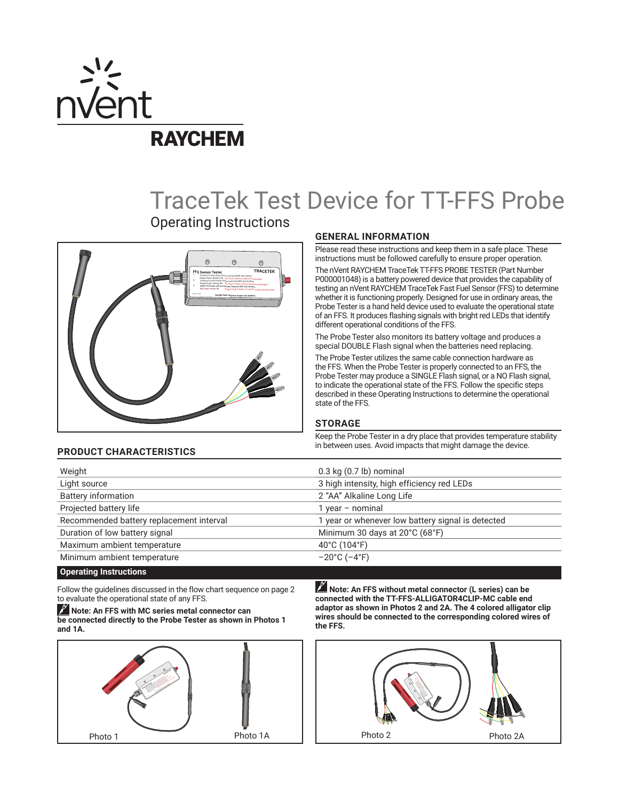

# TraceTek Test Device for TT-FFS Probe

Operating Instructions



# **GENERAL INFORMATION**

Please read these instructions and keep them in a safe place. These instructions must be followed carefully to ensure proper operation.

The nVent RAYCHEM TraceTek TT-FFS PROBE TESTER (Part Number P000001048) is a battery powered device that provides the capability of testing an nVent RAYCHEM TraceTek Fast Fuel Sensor (FFS) to determine whether it is functioning properly. Designed for use in ordinary areas, the Probe Tester is a hand held device used to evaluate the operational state of an FFS. It produces flashing signals with bright red LEDs that identify different operational conditions of the FFS.

The Probe Tester also monitors its battery voltage and produces a special DOUBLE Flash signal when the batteries need replacing.

The Probe Tester utilizes the same cable connection hardware as the FFS. When the Probe Tester is properly connected to an FFS, the Probe Tester may produce a SINGLE Flash signal, or a NO Flash signal, to indicate the operational state of the FFS. Follow the specific steps described in these Operating Instructions to determine the operational state of the FFS.

# **STORAGE**

Keep the Probe Tester in a dry place that provides temperature stability in between uses. Avoid impacts that might damage the device. **PRODUCT CHARACTERISTICS**

| Weight                                   | $0.3$ kg $(0.7$ lb) nominal                       |
|------------------------------------------|---------------------------------------------------|
| Light source                             | 3 high intensity, high efficiency red LEDs        |
| <b>Battery information</b>               | 2 "AA" Alkaline Long Life                         |
| Projected battery life                   | 1 year - nominal                                  |
| Recommended battery replacement interval | 1 year or whenever low battery signal is detected |
| Duration of low battery signal           | Minimum 30 days at 20°C (68°F)                    |
| Maximum ambient temperature              | 40°C (104°F)                                      |
| Minimum ambient temperature              | $-20^{\circ}$ C ( $-4^{\circ}$ F)                 |

# **Operating Instructions**

Follow the guidelines discussed in the flow chart sequence on page 2 to evaluate the operational state of any FFS.

**Note: An FFS with MC series metal connector can be connected directly to the Probe Tester as shown in Photos 1 and 1A.**



**Note: An FFS without metal connector (L series) can be connected with the TT-FFS-ALLIGATOR4CLIP-MC cable end adaptor as shown in Photos 2 and 2A. The 4 colored alligator clip wires should be connected to the corresponding colored wires of the FFS.**